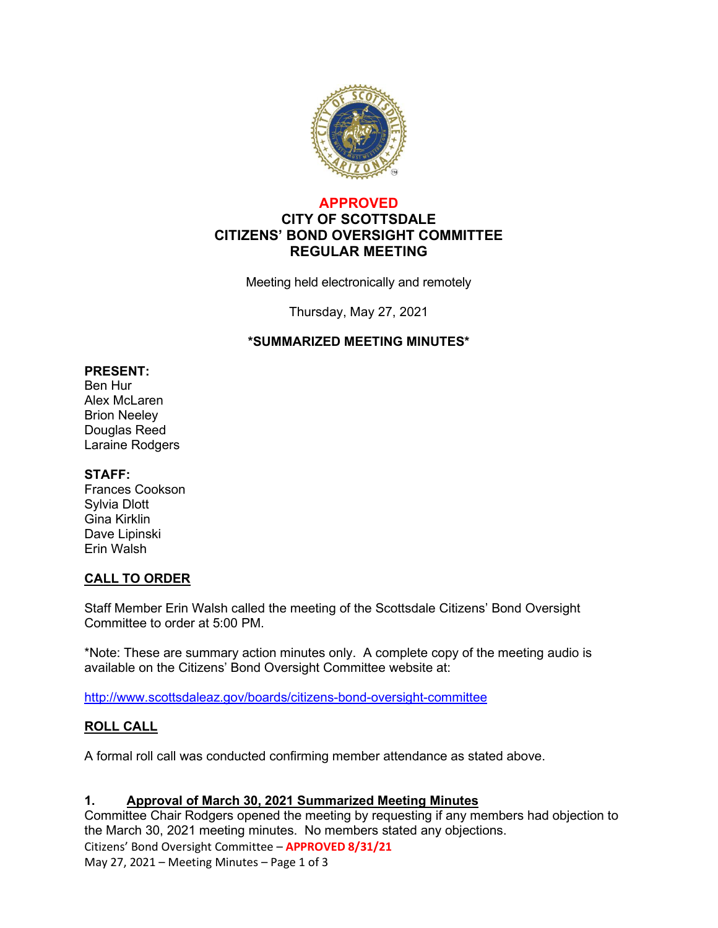

## **APPROVED CITY OF SCOTTSDALE CITIZENS' BOND OVERSIGHT COMMITTEE REGULAR MEETING**

Meeting held electronically and remotely

Thursday, May 27, 2021

### **\*SUMMARIZED MEETING MINUTES\***

#### **PRESENT:**

Ben Hur Alex McLaren Brion Neeley Douglas Reed Laraine Rodgers

#### **STAFF:**

Frances Cookson Sylvia Dlott Gina Kirklin Dave Lipinski Erin Walsh

### **CALL TO ORDER**

Staff Member Erin Walsh called the meeting of the Scottsdale Citizens' Bond Oversight Committee to order at 5:00 PM.

\*Note: These are summary action minutes only. A complete copy of the meeting audio is available on the Citizens' Bond Oversight Committee website at:

<http://www.scottsdaleaz.gov/boards/citizens-bond-oversight-committee>

### **ROLL CALL**

A formal roll call was conducted confirming member attendance as stated above.

### **1. Approval of March 30, 2021 Summarized Meeting Minutes**

Committee Chair Rodgers opened the meeting by requesting if any members had objection to the March 30, 2021 meeting minutes. No members stated any objections.

Citizens' Bond Oversight Committee – **APPROVED 8/31/21**

May 27, 2021 – Meeting Minutes – Page 1 of 3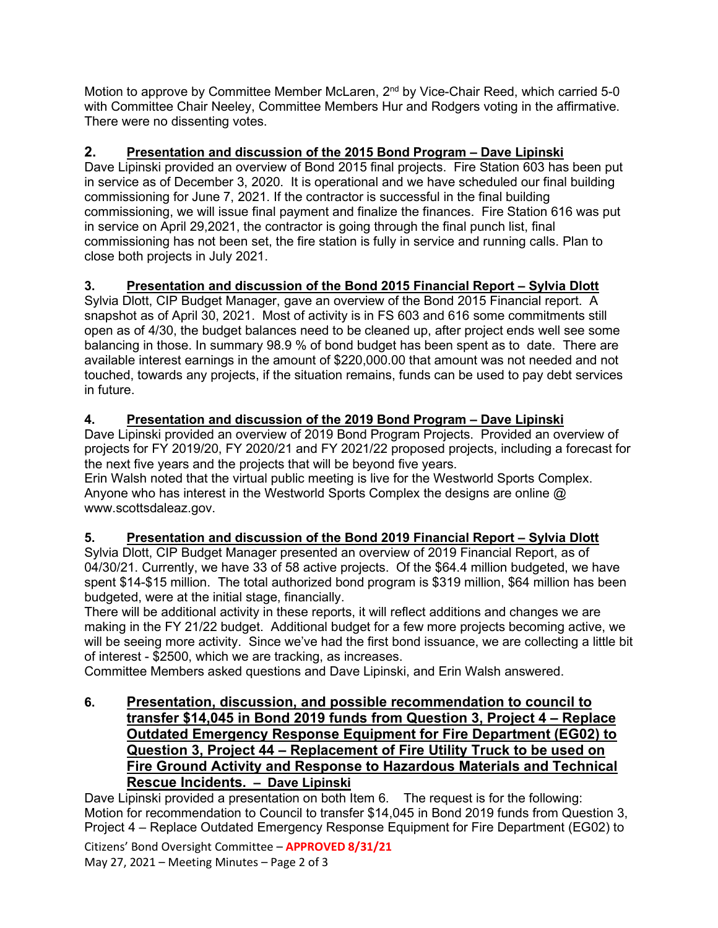Motion to approve by Committee Member McLaren, 2<sup>nd</sup> by Vice-Chair Reed, which carried 5-0 with Committee Chair Neeley, Committee Members Hur and Rodgers voting in the affirmative. There were no dissenting votes.

# **2. Presentation and discussion of the 2015 Bond Program – Dave Lipinski**

Dave Lipinski provided an overview of Bond 2015 final projects. Fire Station 603 has been put in service as of December 3, 2020. It is operational and we have scheduled our final building commissioning for June 7, 2021. If the contractor is successful in the final building commissioning, we will issue final payment and finalize the finances. Fire Station 616 was put in service on April 29,2021, the contractor is going through the final punch list, final commissioning has not been set, the fire station is fully in service and running calls. Plan to close both projects in July 2021.

# **3. Presentation and discussion of the Bond 2015 Financial Report – Sylvia Dlott**

Sylvia Dlott, CIP Budget Manager, gave an overview of the Bond 2015 Financial report. A snapshot as of April 30, 2021. Most of activity is in FS 603 and 616 some commitments still open as of 4/30, the budget balances need to be cleaned up, after project ends well see some balancing in those. In summary 98.9 % of bond budget has been spent as to date. There are available interest earnings in the amount of \$220,000.00 that amount was not needed and not touched, towards any projects, if the situation remains, funds can be used to pay debt services in future.

# **4. Presentation and discussion of the 2019 Bond Program – Dave Lipinski**

Dave Lipinski provided an overview of 2019 Bond Program Projects. Provided an overview of projects for FY 2019/20, FY 2020/21 and FY 2021/22 proposed projects, including a forecast for the next five years and the projects that will be beyond five years.

Erin Walsh noted that the virtual public meeting is live for the Westworld Sports Complex. Anyone who has interest in the Westworld Sports Complex the designs are online @ www.scottsdaleaz.gov.

### **5. Presentation and discussion of the Bond 2019 Financial Report – Sylvia Dlott**

Sylvia Dlott, CIP Budget Manager presented an overview of 2019 Financial Report, as of 04/30/21. Currently, we have 33 of 58 active projects. Of the \$64.4 million budgeted, we have spent \$14-\$15 million. The total authorized bond program is \$319 million, \$64 million has been budgeted, were at the initial stage, financially.

There will be additional activity in these reports, it will reflect additions and changes we are making in the FY 21/22 budget. Additional budget for a few more projects becoming active, we will be seeing more activity. Since we've had the first bond issuance, we are collecting a little bit of interest - \$2500, which we are tracking, as increases.

Committee Members asked questions and Dave Lipinski, and Erin Walsh answered.

## **6. Presentation, discussion, and possible recommendation to council to transfer \$14,045 in Bond 2019 funds from Question 3, Project 4 – Replace Outdated Emergency Response Equipment for Fire Department (EG02) to Question 3, Project 44 – Replacement of Fire Utility Truck to be used on Fire Ground Activity and Response to Hazardous Materials and Technical Rescue Incidents. – Dave Lipinski**

Citizens' Bond Oversight Committee – **APPROVED 8/31/21** Dave Lipinski provided a presentation on both Item 6. The request is for the following: Motion for recommendation to Council to transfer \$14,045 in Bond 2019 funds from Question 3, Project 4 – Replace Outdated Emergency Response Equipment for Fire Department (EG02) to

May 27, 2021 – Meeting Minutes – Page 2 of 3